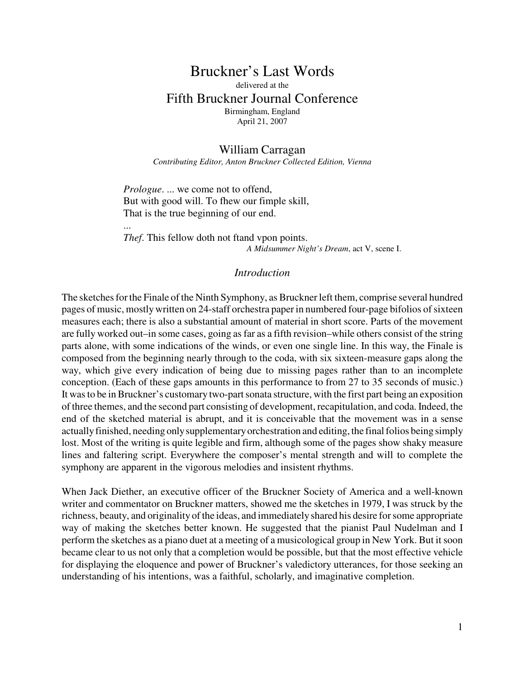## Bruckner's Last Words delivered at the Fifth Bruckner Journal Conference Birmingham, England April 21, 2007

### William Carragan

*Contributing Editor, Anton Bruckner Collected Edition, Vienna*

*Prologue*. ... we come not to offend, But with good will. To fhew our fimple skill, That is the true beginning of our end.

...

*Thef*. This fellow doth not ftand vpon points. *A Midsummer Night's Dream*, act V, scene I.

#### *Introduction*

The sketches for the Finale of the Ninth Symphony, as Bruckner left them, comprise several hundred pages of music, mostly written on 24-staff orchestra paper in numbered four-page bifolios of sixteen measures each; there is also a substantial amount of material in short score. Parts of the movement are fully worked out–in some cases, going as far as a fifth revision–while others consist of the string parts alone, with some indications of the winds, or even one single line. In this way, the Finale is composed from the beginning nearly through to the coda, with six sixteen-measure gaps along the way, which give every indication of being due to missing pages rather than to an incomplete conception. (Each of these gaps amounts in this performance to from 27 to 35 seconds of music.) It was to be in Bruckner's customary two-part sonata structure, with the first part being an exposition of three themes, and the second part consisting of development, recapitulation, and coda. Indeed, the end of the sketched material is abrupt, and it is conceivable that the movement was in a sense actually finished, needing only supplementary orchestration and editing, the final folios being simply lost. Most of the writing is quite legible and firm, although some of the pages show shaky measure lines and faltering script. Everywhere the composer's mental strength and will to complete the symphony are apparent in the vigorous melodies and insistent rhythms.

When Jack Diether, an executive officer of the Bruckner Society of America and a well-known writer and commentator on Bruckner matters, showed me the sketches in 1979, I was struck by the richness, beauty, and originality of the ideas, and immediately shared his desire for some appropriate way of making the sketches better known. He suggested that the pianist Paul Nudelman and I perform the sketches as a piano duet at a meeting of a musicological group in New York. But it soon became clear to us not only that a completion would be possible, but that the most effective vehicle for displaying the eloquence and power of Bruckner's valedictory utterances, for those seeking an understanding of his intentions, was a faithful, scholarly, and imaginative completion.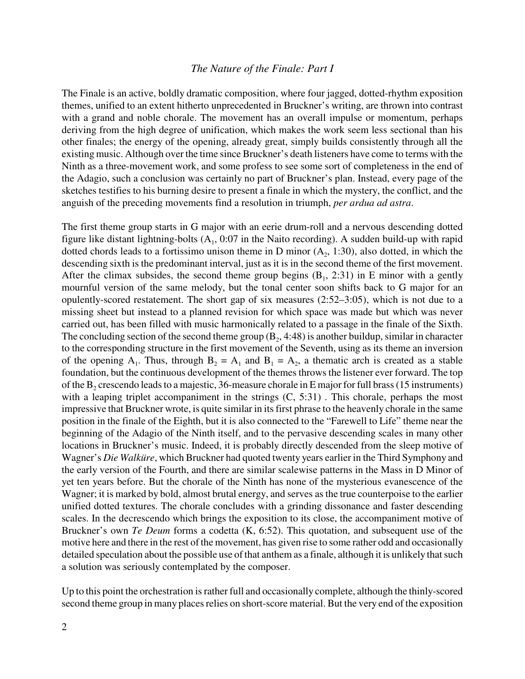#### *The Nature of the Finale: Part I*

The Finale is an active, boldly dramatic composition, where four jagged, dotted-rhythm exposition themes, unified to an extent hitherto unprecedented in Bruckner's writing, are thrown into contrast with a grand and noble chorale. The movement has an overall impulse or momentum, perhaps deriving from the high degree of unification, which makes the work seem less sectional than his other finales; the energy of the opening, already great, simply builds consistently through all the existing music. Although over the time since Bruckner's death listeners have come to terms with the Ninth as a three-movement work, and some profess to see some sort of completeness in the end of the Adagio, such a conclusion was certainly no part of Bruckner's plan. Instead, every page of the sketches testifies to his burning desire to present a finale in which the mystery, the conflict, and the anguish of the preceding movements find a resolution in triumph, *per ardua ad astra*.

The first theme group starts in G major with an eerie drum-roll and a nervous descending dotted figure like distant lightning-bolts  $(A_1, 0.07)$  in the Naito recording). A sudden build-up with rapid dotted chords leads to a fortissimo unison theme in D minor  $(A_2, 1:30)$ , also dotted, in which the descending sixth is the predominant interval, just as it is in the second theme of the first movement. After the climax subsides, the second theme group begins  $(B_1, 2:31)$  in E minor with a gently mournful version of the same melody, but the tonal center soon shifts back to G major for an opulently-scored restatement. The short gap of six measures (2:52–3:05), which is not due to a missing sheet but instead to a planned revision for which space was made but which was never carried out, has been filled with music harmonically related to a passage in the finale of the Sixth. The concluding section of the second theme group  $(B_2, 4:48)$  is another buildup, similar in character to the corresponding structure in the first movement of the Seventh, using as its theme an inversion of the opening  $A_1$ . Thus, through  $B_2 = A_1$  and  $B_1 = A_2$ , a thematic arch is created as a stable foundation, but the continuous development of the themes throws the listener ever forward. The top of the  $B_2$  crescendo leads to a majestic, 36-measure chorale in E major for full brass (15 instruments) with a leaping triplet accompaniment in the strings  $(C, 5:31)$ . This chorale, perhaps the most impressive that Bruckner wrote, is quite similar in its first phrase to the heavenly chorale in the same position in the finale of the Eighth, but it is also connected to the "Farewell to Life" theme near the beginning of the Adagio of the Ninth itself, and to the pervasive descending scales in many other locations in Bruckner's music. Indeed, it is probably directly descended from the sleep motive of Wagner's *Die Walküre*, which Bruckner had quoted twenty years earlier in the Third Symphony and the early version of the Fourth, and there are similar scalewise patterns in the Mass in D Minor of yet ten years before. But the chorale of the Ninth has none of the mysterious evanescence of the Wagner; it is marked by bold, almost brutal energy, and serves as the true counterpoise to the earlier unified dotted textures. The chorale concludes with a grinding dissonance and faster descending scales. In the decrescendo which brings the exposition to its close, the accompaniment motive of Bruckner's own *Te Deum* forms a codetta (K, 6:52). This quotation, and subsequent use of the motive here and there in the rest of the movement, has given rise to some rather odd and occasionally detailed speculation about the possible use of that anthem as a finale, although it is unlikely that such a solution was seriously contemplated by the composer.

Up to this point the orchestration is rather full and occasionally complete, although the thinly-scored second theme group in many places relies on short-score material. But the very end of the exposition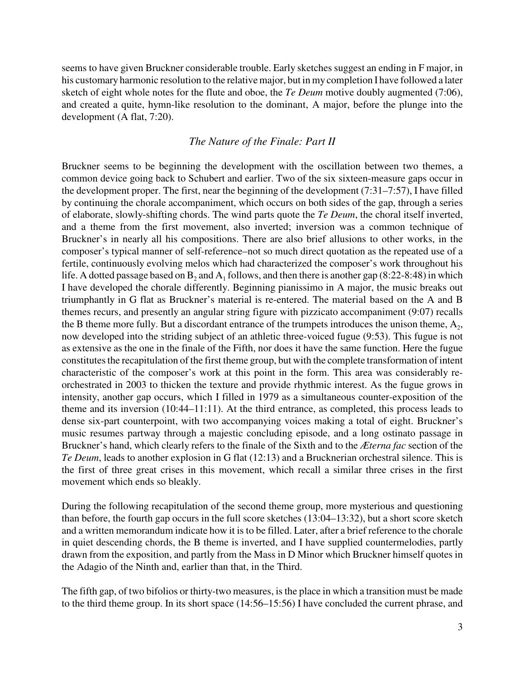seems to have given Bruckner considerable trouble. Early sketches suggest an ending in F major, in his customary harmonic resolution to the relative major, but in my completion I have followed a later sketch of eight whole notes for the flute and oboe, the *Te Deum* motive doubly augmented (7:06), and created a quite, hymn-like resolution to the dominant, A major, before the plunge into the development (A flat, 7:20).

### *The Nature of the Finale: Part II*

Bruckner seems to be beginning the development with the oscillation between two themes, a common device going back to Schubert and earlier. Two of the six sixteen-measure gaps occur in the development proper. The first, near the beginning of the development (7:31–7:57), I have filled by continuing the chorale accompaniment, which occurs on both sides of the gap, through a series of elaborate, slowly-shifting chords. The wind parts quote the *Te Deum*, the choral itself inverted, and a theme from the first movement, also inverted; inversion was a common technique of Bruckner's in nearly all his compositions. There are also brief allusions to other works, in the composer's typical manner of self-reference–not so much direct quotation as the repeated use of a fertile, continuously evolving melos which had characterized the composer's work throughout his life. A dotted passage based on  $B_2$  and  $A_1$  follows, and then there is another gap (8:22-8:48) in which I have developed the chorale differently. Beginning pianissimo in A major, the music breaks out triumphantly in G flat as Bruckner's material is re-entered. The material based on the A and B themes recurs, and presently an angular string figure with pizzicato accompaniment (9:07) recalls the B theme more fully. But a discordant entrance of the trumpets introduces the unison theme,  $A_2$ , now developed into the striding subject of an athletic three-voiced fugue (9:53). This fugue is not as extensive as the one in the finale of the Fifth, nor does it have the same function. Here the fugue constitutes the recapitulation of the first theme group, but with the complete transformation of intent characteristic of the composer's work at this point in the form. This area was considerably reorchestrated in 2003 to thicken the texture and provide rhythmic interest. As the fugue grows in intensity, another gap occurs, which I filled in 1979 as a simultaneous counter-exposition of the theme and its inversion (10:44–11:11). At the third entrance, as completed, this process leads to dense six-part counterpoint, with two accompanying voices making a total of eight. Bruckner's music resumes partway through a majestic concluding episode, and a long ostinato passage in Bruckner's hand, which clearly refers to the finale of the Sixth and to the *Æterna fac* section of the *Te Deum*, leads to another explosion in G flat (12:13) and a Brucknerian orchestral silence. This is the first of three great crises in this movement, which recall a similar three crises in the first movement which ends so bleakly.

During the following recapitulation of the second theme group, more mysterious and questioning than before, the fourth gap occurs in the full score sketches (13:04–13:32), but a short score sketch and a written memorandum indicate how it is to be filled. Later, after a brief reference to the chorale in quiet descending chords, the B theme is inverted, and I have supplied countermelodies, partly drawn from the exposition, and partly from the Mass in D Minor which Bruckner himself quotes in the Adagio of the Ninth and, earlier than that, in the Third.

The fifth gap, of two bifolios or thirty-two measures, is the place in which a transition must be made to the third theme group. In its short space (14:56–15:56) I have concluded the current phrase, and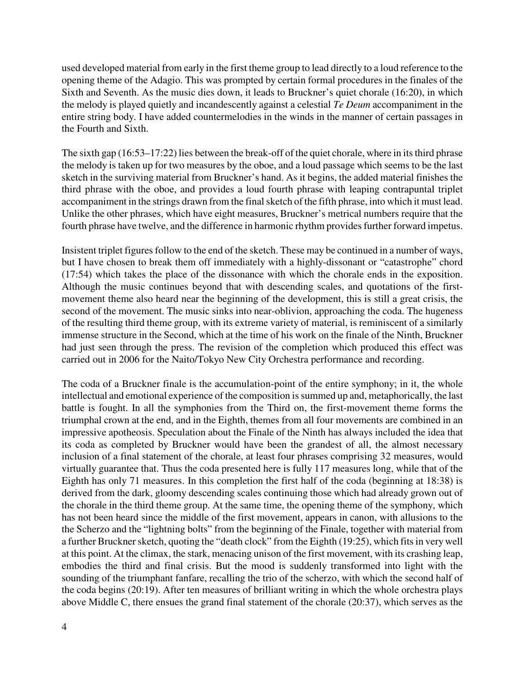used developed material from early in the first theme group to lead directly to a loud reference to the opening theme of the Adagio. This was prompted by certain formal procedures in the finales of the Sixth and Seventh. As the music dies down, it leads to Bruckner's quiet chorale (16:20), in which the melody is played quietly and incandescently against a celestial *Te Deum* accompaniment in the entire string body. I have added countermelodies in the winds in the manner of certain passages in the Fourth and Sixth.

The sixth gap (16:53–17:22) lies between the break-off of the quiet chorale, where in its third phrase the melody is taken up for two measures by the oboe, and a loud passage which seems to be the last sketch in the surviving material from Bruckner's hand. As it begins, the added material finishes the third phrase with the oboe, and provides a loud fourth phrase with leaping contrapuntal triplet accompaniment in the strings drawn from the final sketch of the fifth phrase, into which it must lead. Unlike the other phrases, which have eight measures, Bruckner's metrical numbers require that the fourth phrase have twelve, and the difference in harmonic rhythm provides further forward impetus.

Insistent triplet figures follow to the end of the sketch. These may be continued in a number of ways, but I have chosen to break them off immediately with a highly-dissonant or "catastrophe" chord (17:54) which takes the place of the dissonance with which the chorale ends in the exposition. Although the music continues beyond that with descending scales, and quotations of the firstmovement theme also heard near the beginning of the development, this is still a great crisis, the second of the movement. The music sinks into near-oblivion, approaching the coda. The hugeness of the resulting third theme group, with its extreme variety of material, is reminiscent of a similarly immense structure in the Second, which at the time of his work on the finale of the Ninth, Bruckner had just seen through the press. The revision of the completion which produced this effect was carried out in 2006 for the Naito/Tokyo New City Orchestra performance and recording.

The coda of a Bruckner finale is the accumulation-point of the entire symphony; in it, the whole intellectual and emotional experience of the composition is summed up and, metaphorically, the last battle is fought. In all the symphonies from the Third on, the first-movement theme forms the triumphal crown at the end, and in the Eighth, themes from all four movements are combined in an impressive apotheosis. Speculation about the Finale of the Ninth has always included the idea that its coda as completed by Bruckner would have been the grandest of all, the almost necessary inclusion of a final statement of the chorale, at least four phrases comprising 32 measures, would virtually guarantee that. Thus the coda presented here is fully 117 measures long, while that of the Eighth has only 71 measures. In this completion the first half of the coda (beginning at 18:38) is derived from the dark, gloomy descending scales continuing those which had already grown out of the chorale in the third theme group. At the same time, the opening theme of the symphony, which has not been heard since the middle of the first movement, appears in canon, with allusions to the the Scherzo and the "lightning bolts" from the beginning of the Finale, together with material from a further Bruckner sketch, quoting the "death clock" from the Eighth (19:25), which fits in very well at this point. At the climax, the stark, menacing unison of the first movement, with its crashing leap, embodies the third and final crisis. But the mood is suddenly transformed into light with the sounding of the triumphant fanfare, recalling the trio of the scherzo, with which the second half of the coda begins (20:19). After ten measures of brilliant writing in which the whole orchestra plays above Middle C, there ensues the grand final statement of the chorale (20:37), which serves as the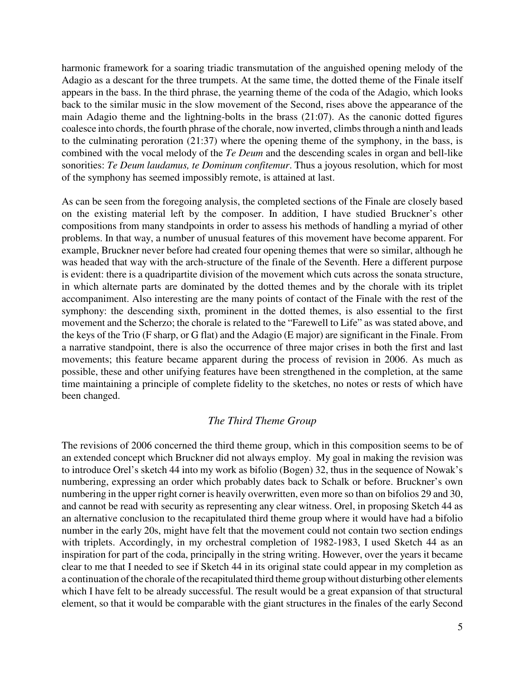harmonic framework for a soaring triadic transmutation of the anguished opening melody of the Adagio as a descant for the three trumpets. At the same time, the dotted theme of the Finale itself appears in the bass. In the third phrase, the yearning theme of the coda of the Adagio, which looks back to the similar music in the slow movement of the Second, rises above the appearance of the main Adagio theme and the lightning-bolts in the brass (21:07). As the canonic dotted figures coalesce into chords, the fourth phrase of the chorale, now inverted, climbs through a ninth and leads to the culminating peroration (21:37) where the opening theme of the symphony, in the bass, is combined with the vocal melody of the *Te Deum* and the descending scales in organ and bell-like sonorities: *Te Deum laudamus, te Dominum confitemur*. Thus a joyous resolution, which for most of the symphony has seemed impossibly remote, is attained at last.

As can be seen from the foregoing analysis, the completed sections of the Finale are closely based on the existing material left by the composer. In addition, I have studied Bruckner's other compositions from many standpoints in order to assess his methods of handling a myriad of other problems. In that way, a number of unusual features of this movement have become apparent. For example, Bruckner never before had created four opening themes that were so similar, although he was headed that way with the arch-structure of the finale of the Seventh. Here a different purpose is evident: there is a quadripartite division of the movement which cuts across the sonata structure, in which alternate parts are dominated by the dotted themes and by the chorale with its triplet accompaniment. Also interesting are the many points of contact of the Finale with the rest of the symphony: the descending sixth, prominent in the dotted themes, is also essential to the first movement and the Scherzo; the chorale is related to the "Farewell to Life" as was stated above, and the keys of the Trio (F sharp, or G flat) and the Adagio (E major) are significant in the Finale. From a narrative standpoint, there is also the occurrence of three major crises in both the first and last movements; this feature became apparent during the process of revision in 2006. As much as possible, these and other unifying features have been strengthened in the completion, at the same time maintaining a principle of complete fidelity to the sketches, no notes or rests of which have been changed.

### *The Third Theme Group*

The revisions of 2006 concerned the third theme group, which in this composition seems to be of an extended concept which Bruckner did not always employ. My goal in making the revision was to introduce Orel's sketch 44 into my work as bifolio (Bogen) 32, thus in the sequence of Nowak's numbering, expressing an order which probably dates back to Schalk or before. Bruckner's own numbering in the upper right corner is heavily overwritten, even more so than on bifolios 29 and 30, and cannot be read with security as representing any clear witness. Orel, in proposing Sketch 44 as an alternative conclusion to the recapitulated third theme group where it would have had a bifolio number in the early 20s, might have felt that the movement could not contain two section endings with triplets. Accordingly, in my orchestral completion of 1982-1983, I used Sketch 44 as an inspiration for part of the coda, principally in the string writing. However, over the years it became clear to me that I needed to see if Sketch 44 in its original state could appear in my completion as a continuation of the chorale of the recapitulated third theme group without disturbing other elements which I have felt to be already successful. The result would be a great expansion of that structural element, so that it would be comparable with the giant structures in the finales of the early Second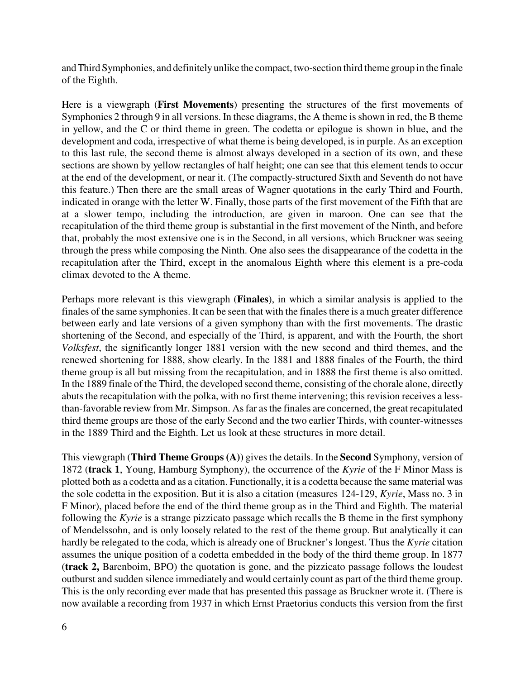and Third Symphonies, and definitely unlike the compact, two-section third theme group in the finale of the Eighth.

Here is a viewgraph (**First Movements**) presenting the structures of the first movements of Symphonies 2 through 9 in all versions. In these diagrams, the A theme is shown in red, the B theme in yellow, and the C or third theme in green. The codetta or epilogue is shown in blue, and the development and coda, irrespective of what theme is being developed, is in purple. As an exception to this last rule, the second theme is almost always developed in a section of its own, and these sections are shown by yellow rectangles of half height; one can see that this element tends to occur at the end of the development, or near it. (The compactly-structured Sixth and Seventh do not have this feature.) Then there are the small areas of Wagner quotations in the early Third and Fourth, indicated in orange with the letter W. Finally, those parts of the first movement of the Fifth that are at a slower tempo, including the introduction, are given in maroon. One can see that the recapitulation of the third theme group is substantial in the first movement of the Ninth, and before that, probably the most extensive one is in the Second, in all versions, which Bruckner was seeing through the press while composing the Ninth. One also sees the disappearance of the codetta in the recapitulation after the Third, except in the anomalous Eighth where this element is a pre-coda climax devoted to the A theme.

Perhaps more relevant is this viewgraph (**Finales**), in which a similar analysis is applied to the finales of the same symphonies. It can be seen that with the finales there is a much greater difference between early and late versions of a given symphony than with the first movements. The drastic shortening of the Second, and especially of the Third, is apparent, and with the Fourth, the short *Volksfest*, the significantly longer 1881 version with the new second and third themes, and the renewed shortening for 1888, show clearly. In the 1881 and 1888 finales of the Fourth, the third theme group is all but missing from the recapitulation, and in 1888 the first theme is also omitted. In the 1889 finale of the Third, the developed second theme, consisting of the chorale alone, directly abuts the recapitulation with the polka, with no first theme intervening; this revision receives a lessthan-favorable review from Mr. Simpson. As far as the finales are concerned, the great recapitulated third theme groups are those of the early Second and the two earlier Thirds, with counter-witnesses in the 1889 Third and the Eighth. Let us look at these structures in more detail.

This viewgraph (**Third Theme Groups (A)**) gives the details. In the **Second** Symphony, version of 1872 (**track 1**, Young, Hamburg Symphony), the occurrence of the *Kyrie* of the F Minor Mass is plotted both as a codetta and as a citation. Functionally, it is a codetta because the same material was the sole codetta in the exposition. But it is also a citation (measures 124-129, *Kyrie*, Mass no. 3 in F Minor), placed before the end of the third theme group as in the Third and Eighth. The material following the *Kyrie* is a strange pizzicato passage which recalls the B theme in the first symphony of Mendelssohn, and is only loosely related to the rest of the theme group. But analytically it can hardly be relegated to the coda, which is already one of Bruckner's longest. Thus the *Kyrie* citation assumes the unique position of a codetta embedded in the body of the third theme group. In 1877 (**track 2,** Barenboim, BPO) the quotation is gone, and the pizzicato passage follows the loudest outburst and sudden silence immediately and would certainly count as part of the third theme group. This is the only recording ever made that has presented this passage as Bruckner wrote it. (There is now available a recording from 1937 in which Ernst Praetorius conducts this version from the first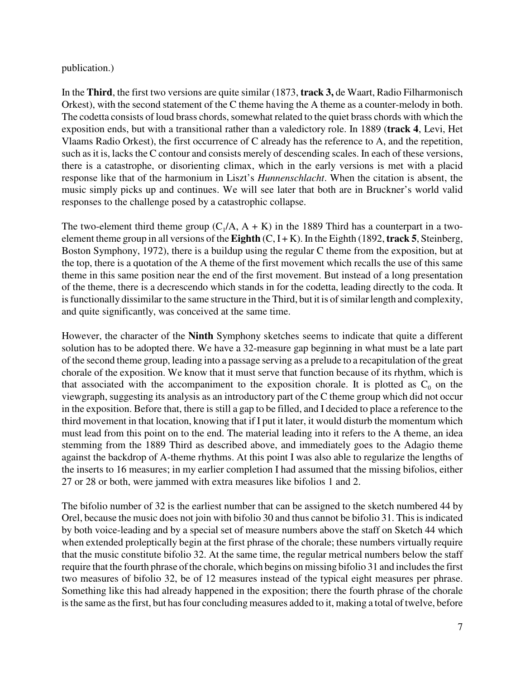publication.)

In the **Third**, the first two versions are quite similar (1873, **track 3,** de Waart, Radio Filharmonisch Orkest), with the second statement of the C theme having the A theme as a counter-melody in both. The codetta consists of loud brass chords, somewhat related to the quiet brass chords with which the exposition ends, but with a transitional rather than a valedictory role. In 1889 (**track 4**, Levi, Het Vlaams Radio Orkest), the first occurrence of C already has the reference to A, and the repetition, such as it is, lacks the C contour and consists merely of descending scales. In each of these versions, there is a catastrophe, or disorienting climax, which in the early versions is met with a placid response like that of the harmonium in Liszt's *Hunnenschlacht*. When the citation is absent, the music simply picks up and continues. We will see later that both are in Bruckner's world valid responses to the challenge posed by a catastrophic collapse.

The two-element third theme group  $(C_1/A, A + K)$  in the 1889 Third has a counterpart in a twoelement theme group in all versions of the **Eighth**  $(C, I + K)$ . In the Eighth (1892, **track 5**, Steinberg, Boston Symphony, 1972), there is a buildup using the regular C theme from the exposition, but at the top, there is a quotation of the A theme of the first movement which recalls the use of this same theme in this same position near the end of the first movement. But instead of a long presentation of the theme, there is a decrescendo which stands in for the codetta, leading directly to the coda. It is functionally dissimilar to the same structure in the Third, but it is of similar length and complexity, and quite significantly, was conceived at the same time.

However, the character of the **Ninth** Symphony sketches seems to indicate that quite a different solution has to be adopted there. We have a 32-measure gap beginning in what must be a late part of the second theme group, leading into a passage serving as a prelude to a recapitulation of the great chorale of the exposition. We know that it must serve that function because of its rhythm, which is that associated with the accompaniment to the exposition chorale. It is plotted as  $C_0$  on the viewgraph, suggesting its analysis as an introductory part of the C theme group which did not occur in the exposition. Before that, there is still a gap to be filled, and I decided to place a reference to the third movement in that location, knowing that if I put it later, it would disturb the momentum which must lead from this point on to the end. The material leading into it refers to the A theme, an idea stemming from the 1889 Third as described above, and immediately goes to the Adagio theme against the backdrop of A-theme rhythms. At this point I was also able to regularize the lengths of the inserts to 16 measures; in my earlier completion I had assumed that the missing bifolios, either 27 or 28 or both, were jammed with extra measures like bifolios 1 and 2.

The bifolio number of 32 is the earliest number that can be assigned to the sketch numbered 44 by Orel, because the music does not join with bifolio 30 and thus cannot be bifolio 31. This is indicated by both voice-leading and by a special set of measure numbers above the staff on Sketch 44 which when extended proleptically begin at the first phrase of the chorale; these numbers virtually require that the music constitute bifolio 32. At the same time, the regular metrical numbers below the staff require that the fourth phrase of the chorale, which begins on missing bifolio 31 and includes the first two measures of bifolio 32, be of 12 measures instead of the typical eight measures per phrase. Something like this had already happened in the exposition; there the fourth phrase of the chorale is the same as the first, but has four concluding measures added to it, making a total of twelve, before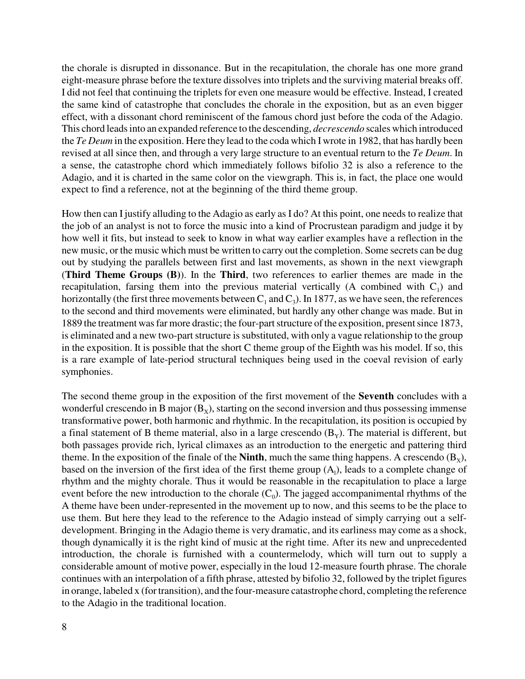the chorale is disrupted in dissonance. But in the recapitulation, the chorale has one more grand eight-measure phrase before the texture dissolves into triplets and the surviving material breaks off. I did not feel that continuing the triplets for even one measure would be effective. Instead, I created the same kind of catastrophe that concludes the chorale in the exposition, but as an even bigger effect, with a dissonant chord reminiscent of the famous chord just before the coda of the Adagio. This chord leads into an expanded reference to the descending, *decrescendo* scales which introduced the *Te Deum* in the exposition. Here they lead to the coda which I wrote in 1982, that has hardly been revised at all since then, and through a very large structure to an eventual return to the *Te Deum*. In a sense, the catastrophe chord which immediately follows bifolio 32 is also a reference to the Adagio, and it is charted in the same color on the viewgraph. This is, in fact, the place one would expect to find a reference, not at the beginning of the third theme group.

How then can I justify alluding to the Adagio as early as I do? At this point, one needs to realize that the job of an analyst is not to force the music into a kind of Procrustean paradigm and judge it by how well it fits, but instead to seek to know in what way earlier examples have a reflection in the new music, or the music which must be written to carry out the completion. Some secrets can be dug out by studying the parallels between first and last movements, as shown in the next viewgraph (**Third Theme Groups (B)**). In the **Third**, two references to earlier themes are made in the recapitulation, farsing them into the previous material vertically (A combined with  $C_1$ ) and horizontally (the first three movements between  $C_1$  and  $C_3$ ). In 1877, as we have seen, the references to the second and third movements were eliminated, but hardly any other change was made. But in 1889 the treatment was far more drastic; the four-part structure of the exposition, present since 1873, is eliminated and a new two-part structure is substituted, with only a vague relationship to the group in the exposition. It is possible that the short C theme group of the Eighth was his model. If so, this is a rare example of late-period structural techniques being used in the coeval revision of early symphonies.

The second theme group in the exposition of the first movement of the **Seventh** concludes with a wonderful crescendo in B major  $(B_x)$ , starting on the second inversion and thus possessing immense transformative power, both harmonic and rhythmic. In the recapitulation, its position is occupied by a final statement of B theme material, also in a large crescendo  $(B<sub>y</sub>)$ . The material is different, but both passages provide rich, lyrical climaxes as an introduction to the energetic and pattering third theme. In the exposition of the finale of the **Ninth**, much the same thing happens. A crescendo  $(B_x)$ , based on the inversion of the first idea of the first theme group  $(A<sub>1</sub>)$ , leads to a complete change of rhythm and the mighty chorale. Thus it would be reasonable in the recapitulation to place a large event before the new introduction to the chorale  $(C_0)$ . The jagged accompanimental rhythms of the A theme have been under-represented in the movement up to now, and this seems to be the place to use them. But here they lead to the reference to the Adagio instead of simply carrying out a selfdevelopment. Bringing in the Adagio theme is very dramatic, and its earliness may come as a shock, though dynamically it is the right kind of music at the right time. After its new and unprecedented introduction, the chorale is furnished with a countermelody, which will turn out to supply a considerable amount of motive power, especially in the loud 12-measure fourth phrase. The chorale continues with an interpolation of a fifth phrase, attested by bifolio 32, followed by the triplet figures in orange, labeled x (for transition), and the four-measure catastrophe chord, completing the reference to the Adagio in the traditional location.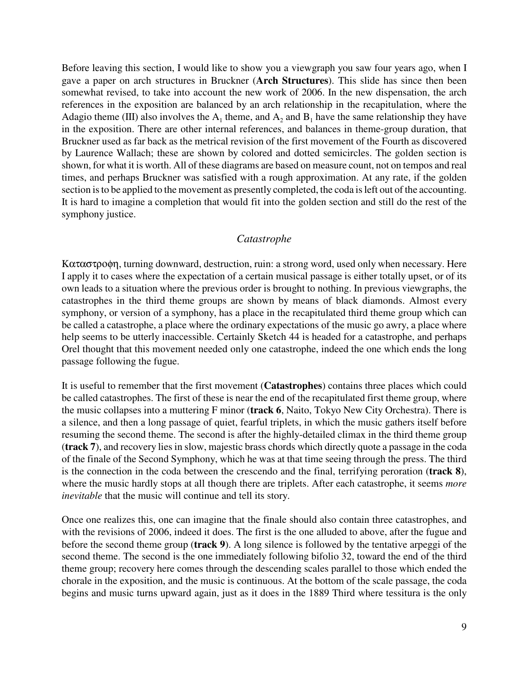Before leaving this section, I would like to show you a viewgraph you saw four years ago, when I gave a paper on arch structures in Bruckner (**Arch Structures**). This slide has since then been somewhat revised, to take into account the new work of 2006. In the new dispensation, the arch references in the exposition are balanced by an arch relationship in the recapitulation, where the Adagio theme (III) also involves the  $A_1$  theme, and  $A_2$  and  $B_1$  have the same relationship they have in the exposition. There are other internal references, and balances in theme-group duration, that Bruckner used as far back as the metrical revision of the first movement of the Fourth as discovered by Laurence Wallach; these are shown by colored and dotted semicircles. The golden section is shown, for what it is worth. All of these diagrams are based on measure count, not on tempos and real times, and perhaps Bruckner was satisfied with a rough approximation. At any rate, if the golden section is to be applied to the movement as presently completed, the coda is left out of the accounting. It is hard to imagine a completion that would fit into the golden section and still do the rest of the symphony justice.

## *Catastrophe*

Καταστροφη, turning downward, destruction, ruin: a strong word, used only when necessary. Here I apply it to cases where the expectation of a certain musical passage is either totally upset, or of its own leads to a situation where the previous order is brought to nothing. In previous viewgraphs, the catastrophes in the third theme groups are shown by means of black diamonds. Almost every symphony, or version of a symphony, has a place in the recapitulated third theme group which can be called a catastrophe, a place where the ordinary expectations of the music go awry, a place where help seems to be utterly inaccessible. Certainly Sketch 44 is headed for a catastrophe, and perhaps Orel thought that this movement needed only one catastrophe, indeed the one which ends the long passage following the fugue.

It is useful to remember that the first movement (**Catastrophes**) contains three places which could be called catastrophes. The first of these is near the end of the recapitulated first theme group, where the music collapses into a muttering F minor (**track 6**, Naito, Tokyo New City Orchestra). There is a silence, and then a long passage of quiet, fearful triplets, in which the music gathers itself before resuming the second theme. The second is after the highly-detailed climax in the third theme group (**track 7**), and recovery lies in slow, majestic brass chords which directly quote a passage in the coda of the finale of the Second Symphony, which he was at that time seeing through the press. The third is the connection in the coda between the crescendo and the final, terrifying peroration (**track 8**), where the music hardly stops at all though there are triplets. After each catastrophe, it seems *more inevitable* that the music will continue and tell its story.

Once one realizes this, one can imagine that the finale should also contain three catastrophes, and with the revisions of 2006, indeed it does. The first is the one alluded to above, after the fugue and before the second theme group (**track 9**). A long silence is followed by the tentative arpeggi of the second theme. The second is the one immediately following bifolio 32, toward the end of the third theme group; recovery here comes through the descending scales parallel to those which ended the chorale in the exposition, and the music is continuous. At the bottom of the scale passage, the coda begins and music turns upward again, just as it does in the 1889 Third where tessitura is the only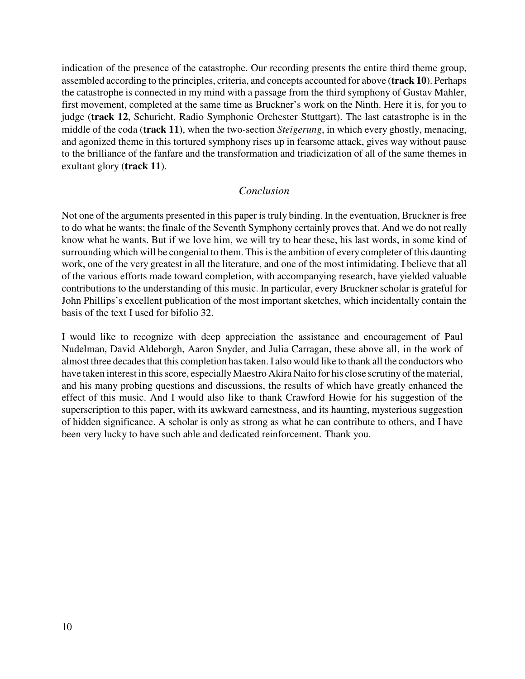indication of the presence of the catastrophe. Our recording presents the entire third theme group, assembled according to the principles, criteria, and concepts accounted for above (**track 10**). Perhaps the catastrophe is connected in my mind with a passage from the third symphony of Gustav Mahler, first movement, completed at the same time as Bruckner's work on the Ninth. Here it is, for you to judge (**track 12**, Schuricht, Radio Symphonie Orchester Stuttgart). The last catastrophe is in the middle of the coda (**track 11**), when the two-section *Steigerung*, in which every ghostly, menacing, and agonized theme in this tortured symphony rises up in fearsome attack, gives way without pause to the brilliance of the fanfare and the transformation and triadicization of all of the same themes in exultant glory (**track 11**).

## *Conclusion*

Not one of the arguments presented in this paper is truly binding. In the eventuation, Bruckner is free to do what he wants; the finale of the Seventh Symphony certainly proves that. And we do not really know what he wants. But if we love him, we will try to hear these, his last words, in some kind of surrounding which will be congenial to them. This is the ambition of every completer of this daunting work, one of the very greatest in all the literature, and one of the most intimidating. I believe that all of the various efforts made toward completion, with accompanying research, have yielded valuable contributions to the understanding of this music. In particular, every Bruckner scholar is grateful for John Phillips's excellent publication of the most important sketches, which incidentally contain the basis of the text I used for bifolio 32.

I would like to recognize with deep appreciation the assistance and encouragement of Paul Nudelman, David Aldeborgh, Aaron Snyder, and Julia Carragan, these above all, in the work of almost three decades that this completion has taken. I also would like to thank all the conductors who have taken interest in this score, especially Maestro Akira Naito for his close scrutiny of the material, and his many probing questions and discussions, the results of which have greatly enhanced the effect of this music. And I would also like to thank Crawford Howie for his suggestion of the superscription to this paper, with its awkward earnestness, and its haunting, mysterious suggestion of hidden significance. A scholar is only as strong as what he can contribute to others, and I have been very lucky to have such able and dedicated reinforcement. Thank you.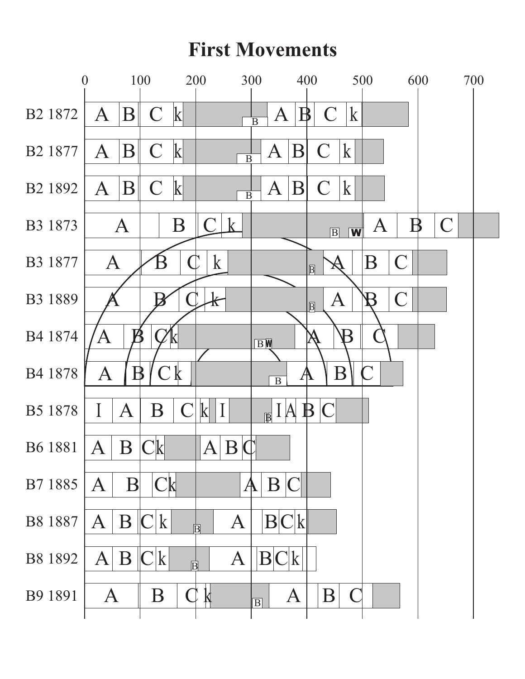## **First Movements**

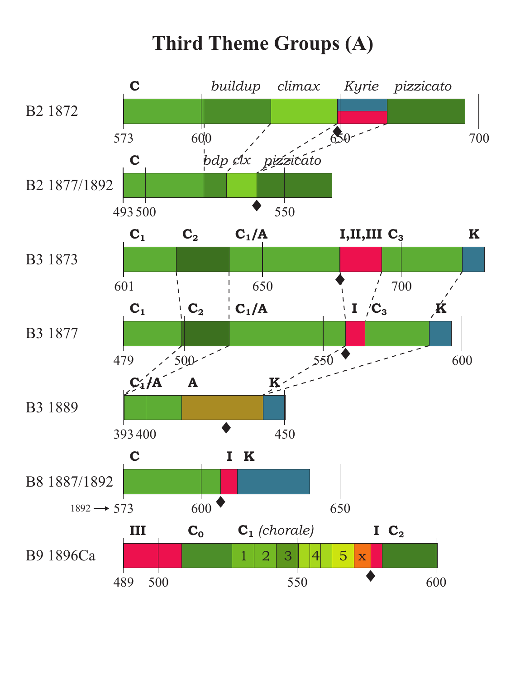# **Third Theme Groups (A)**